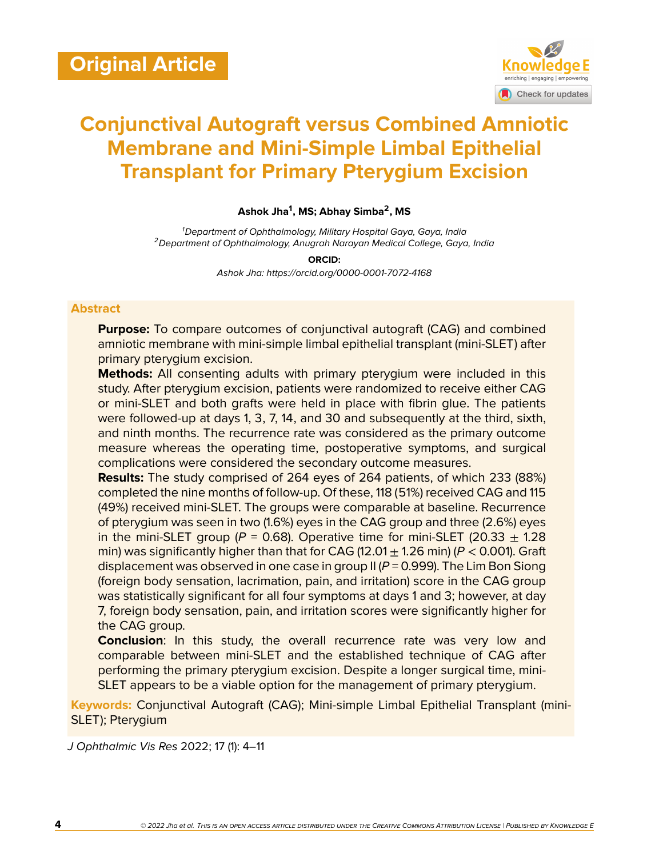

# **Conjunctival Autograft versus Combined Amniotic Membrane and Mini-Simple Limbal Epithelial Transplant for Primary Pterygium Excision**

#### **Ashok Jha<sup>1</sup> , MS; Abhay Simba<sup>2</sup> , MS**

*<sup>1</sup>Department of Ophthalmology, Military Hospital Gaya, Gaya, India <sup>2</sup>Department of Ophthalmology, Anugrah Narayan Medical College, Gaya, India*

**ORCID:**

*Ashok Jha: https://orcid.org/0000-0001-7072-4168*

#### **Abstract**

**Purpose:** To compare outcomes of conjunctival autograft (CAG) and combined amniotic membrane with mini-simple limbal epithelial transplant (mini-SLET) after primary pterygium excision.

**Methods:** All consenting adults with primary pterygium were included in this study. After pterygium excision, patients were randomized to receive either CAG or mini-SLET and both grafts were held in place with fibrin glue. The patients were followed-up at days 1, 3, 7, 14, and 30 and subsequently at the third, sixth, and ninth months. The recurrence rate was considered as the primary outcome measure whereas the operating time, postoperative symptoms, and surgical complications were considered the secondary outcome measures.

**Results:** The study comprised of 264 eyes of 264 patients, of which 233 (88%) completed the nine months of follow-up. Of these, 118 (51%) received CAG and 115 (49%) received mini-SLET. The groups were comparable at baseline. Recurrence of pterygium was seen in two (1.6%) eyes in the CAG group and three (2.6%) eyes in the mini-SLET group ( $P = 0.68$ ). Operative time for mini-SLET (20.33  $\pm$  1.28 min) was significantly higher than that for CAG (12.01  $\pm$  1.26 min) ( $P < 0.001$ ). Graft displacement was observed in one case in group II (*P* = 0.999). The Lim Bon Siong (foreign body sensation, lacrimation, pain, and irritation) score in the CAG group was statistically significant for all four symptoms at days 1 and 3; however, at day 7, foreign body sensation, pain, and irritation scores were significantly higher for the CAG group.

**Conclusion**: In this study, the overall recurrence rate was very low and comparable between mini-SLET and the established technique of CAG after performing the primary pterygium excision. Despite a longer surgical time, mini-SLET appears to be a viable option for the management of primary pterygium.

**Keywords:** Conjunctival Autograft (CAG); Mini-simple Limbal Epithelial Transplant (mini-SLET); Pterygium

*J Ophthalmic Vis Res* 2022; 17 (1): 4–11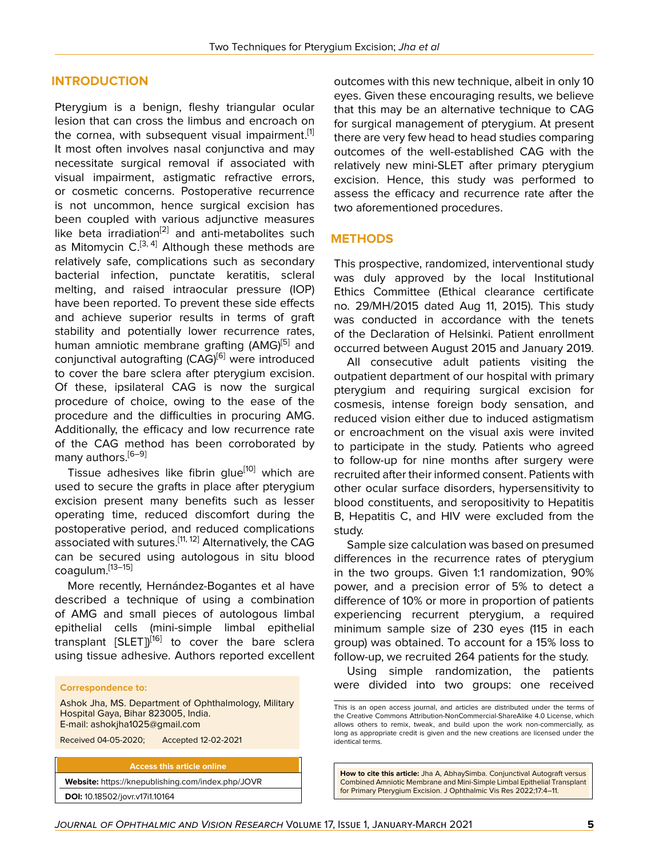#### **INTRODUCTION**

Pterygium is a benign, fleshy triangular ocular lesion that can cross the limbus and encroach on the cornea, with subsequent visual impairment.<sup>[[1](#page-6-0)]</sup> It most often involves nasal conjunctiva and may necessitate surgical removal if associated with visual impairment, astigmatic refractive errors, or cosmetic concerns. Postoperative recurrence is not uncommon, hence surgical excision has been coupled with various adjunctive measures like beta irradiation<sup>[[2](#page-6-1)]</sup> and anti-metabolites such as Mitomycin C.<sup>[[3](#page-6-2), [4](#page-6-3)]</sup> Although these methods are relatively safe, complications such as secondary bacterial infection, punctate keratitis, scleral melting, and raised intraocular pressure (IOP) have been reported. To prevent these side effects and achieve superior results in terms of graft stability and potentially lower recurrence rates, human amniotic membrane grafting (AMG)<sup>[\[5\]](#page-6-4)</sup> and conjunctival autografting (CAG)<sup>[[6](#page-6-5)]</sup> were introduced to cover the bare sclera after pterygium excision. Of these, ipsilateral CAG is now the surgical procedure of choice, owing to the ease of the procedure and the difficulties in procuring AMG. Additionally, the efficacy and low recurrence rate of the CAG method has been corroborated by many authors.<sup>[[6](#page-6-5)-[9](#page-7-0)]</sup>

Tissue adhesives like fibrin glue<sup>[[10](#page-7-1)]</sup> which are used to secure the grafts in place after pterygium excision present many benefits such as lesser operating time, reduced discomfort during the postoperative period, and reduced complications associated with sutures.<sup>[\[11](#page-7-2), [12](#page-7-3)]</sup> Alternatively, the CAG can be secured using autologous in situ blood coagulum.[[13](#page-7-4)[–15\]](#page-7-5)

More recently, Hernández-Bogantes et al have described a technique of using a combination of AMG and small pieces of autologous limbal epithelial cells (mini-simple limbal epithelial transplant [SLET])<sup>[[16\]](#page-7-6)</sup> to cover the bare sclera using tissue adhesive. Authors reported excellent

#### **Correspondence to:**

Ashok Jha, MS. Department of Ophthalmology, Military Hospital Gaya, Bihar 823005, India. E-mail: ashokjha1025@gmail.com

Received 04-05-2020; Accepted 12-02-2021

**Access this article online**

**Website:** <https://knepublishing.com/index.php/JOVR> **DOI:** 10.18502/jovr.v17i1.10164

outcomes with this new technique, albeit in only 10 eyes. Given these encouraging results, we believe that this may be an alternative technique to CAG for surgical management of pterygium. At present there are very few head to head studies comparing outcomes of the well-established CAG with the relatively new mini-SLET after primary pterygium excision. Hence, this study was performed to assess the efficacy and recurrence rate after the two aforementioned procedures.

#### **METHODS**

This prospective, randomized, interventional study was duly approved by the local Institutional Ethics Committee (Ethical clearance certificate no. 29/MH/2015 dated Aug 11, 2015). This study was conducted in accordance with the tenets of the Declaration of Helsinki. Patient enrollment occurred between August 2015 and January 2019.

All consecutive adult patients visiting the outpatient department of our hospital with primary pterygium and requiring surgical excision for cosmesis, intense foreign body sensation, and reduced vision either due to induced astigmatism or encroachment on the visual axis were invited to participate in the study. Patients who agreed to follow-up for nine months after surgery were recruited after their informed consent. Patients with other ocular surface disorders, hypersensitivity to blood constituents, and seropositivity to Hepatitis B, Hepatitis C, and HIV were excluded from the study.

Sample size calculation was based on presumed differences in the recurrence rates of pterygium in the two groups. Given 1:1 randomization, 90% power, and a precision error of 5% to detect a difference of 10% or more in proportion of patients experiencing recurrent pterygium, a required minimum sample size of 230 eyes (115 in each group) was obtained. To account for a 15% loss to follow-up, we recruited 264 patients for the study.

Using simple randomization, the patients were divided into two groups: one received

**How to cite this article:** Jha A, AbhaySimba. Conjunctival Autograft versus Combined Amniotic Membrane and Mini-Simple Limbal Epithelial Transplant for Primary Pterygium Excision. J Ophthalmic Vis Res 2022;17:4–11.

This is an open access journal, and articles are distributed under the terms of the Creative Commons Attribution-NonCommercial-ShareAlike 4.0 License, which allows others to remix, tweak, and build upon the work non-commercially, as long as appropriate credit is given and the new creations are licensed under the identical terms.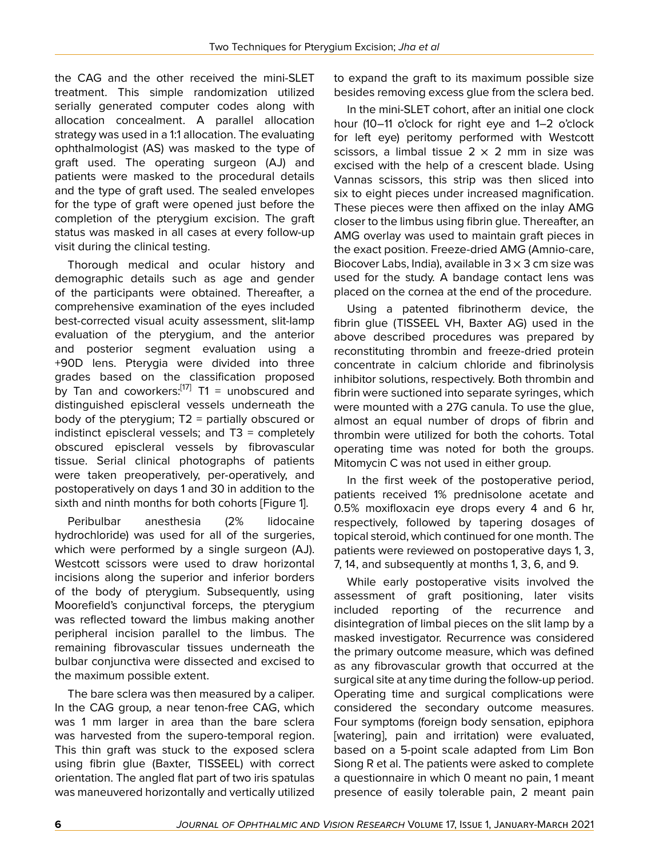the CAG and the other received the mini-SLET treatment. This simple randomization utilized serially generated computer codes along with allocation concealment. A parallel allocation strategy was used in a 1:1 allocation. The evaluating ophthalmologist (AS) was masked to the type of graft used. The operating surgeon (AJ) and patients were masked to the procedural details and the type of graft used. The sealed envelopes for the type of graft were opened just before the completion of the pterygium excision. The graft status was masked in all cases at every follow-up visit during the clinical testing.

Thorough medical and ocular history and demographic details such as age and gender of the participants were obtained. Thereafter, a comprehensive examination of the eyes included best-corrected visual acuity assessment, slit-lamp evaluation of the pterygium, and the anterior and posterior segment evaluation using a +90D lens. Pterygia were divided into three grades based on the classification proposed by Tan and coworkers: $[17]$  T1 = unobscured and distinguished episcleral vessels underneath the body of the pterygium;  $T2$  = partially obscured or indistinct episcleral vessels; and  $T3 =$  completely obscured episcleral vessels by fibrovascular tissue. Serial clinical photographs of patients were taken preoperatively, per-operatively, and postoperatively on days 1 and 30 in addition to the sixth and ninth months for both cohorts [Figure 1].

Peribulbar anesthesia (2% lidocaine hydrochloride) was used for all of the surgeries, which were performed by a single surgeon (AJ). Westcott scissors were used to draw horizontal incisions along the superior and inferior borders of the body of pterygium. Subsequently, using Moorefield's conjunctival forceps, the pterygium was reflected toward the limbus making another peripheral incision parallel to the limbus. The remaining fibrovascular tissues underneath the bulbar conjunctiva were dissected and excised to the maximum possible extent.

The bare sclera was then measured by a caliper. In the CAG group, a near tenon-free CAG, which was 1 mm larger in area than the bare sclera was harvested from the supero-temporal region. This thin graft was stuck to the exposed sclera using fibrin glue (Baxter, TISSEEL) with correct orientation. The angled flat part of two iris spatulas was maneuvered horizontally and vertically utilized

to expand the graft to its maximum possible size besides removing excess glue from the sclera bed.

In the mini-SLET cohort, after an initial one clock hour (10–11 o'clock for right eye and 1–2 o'clock for left eye) peritomy performed with Westcott scissors, a limbal tissue  $2 \times 2$  mm in size was excised with the help of a crescent blade. Using Vannas scissors, this strip was then sliced into six to eight pieces under increased magnification. These pieces were then affixed on the inlay AMG closer to the limbus using fibrin glue. Thereafter, an AMG overlay was used to maintain graft pieces in the exact position. Freeze-dried AMG (Amnio-care, Biocover Labs, India), available in  $3 \times 3$  cm size was used for the study. A bandage contact lens was placed on the cornea at the end of the procedure.

Using a patented fibrinotherm device, the fibrin glue (TISSEEL VH, Baxter AG) used in the above described procedures was prepared by reconstituting thrombin and freeze-dried protein concentrate in calcium chloride and fibrinolysis inhibitor solutions, respectively. Both thrombin and fibrin were suctioned into separate syringes, which were mounted with a 27G canula. To use the glue, almost an equal number of drops of fibrin and thrombin were utilized for both the cohorts. Total operating time was noted for both the groups. Mitomycin C was not used in either group.

In the first week of the postoperative period, patients received 1% prednisolone acetate and 0.5% moxifloxacin eye drops every 4 and 6 hr, respectively, followed by tapering dosages of topical steroid, which continued for one month. The patients were reviewed on postoperative days 1, 3, 7, 14, and subsequently at months 1, 3, 6, and 9.

While early postoperative visits involved the assessment of graft positioning, later visits included reporting of the recurrence and disintegration of limbal pieces on the slit lamp by a masked investigator. Recurrence was considered the primary outcome measure, which was defined as any fibrovascular growth that occurred at the surgical site at any time during the follow-up period. Operating time and surgical complications were considered the secondary outcome measures. Four symptoms (foreign body sensation, epiphora [watering], pain and irritation) were evaluated, based on a 5-point scale adapted from Lim Bon Siong R et al. The patients were asked to complete a questionnaire in which 0 meant no pain, 1 meant presence of easily tolerable pain, 2 meant pain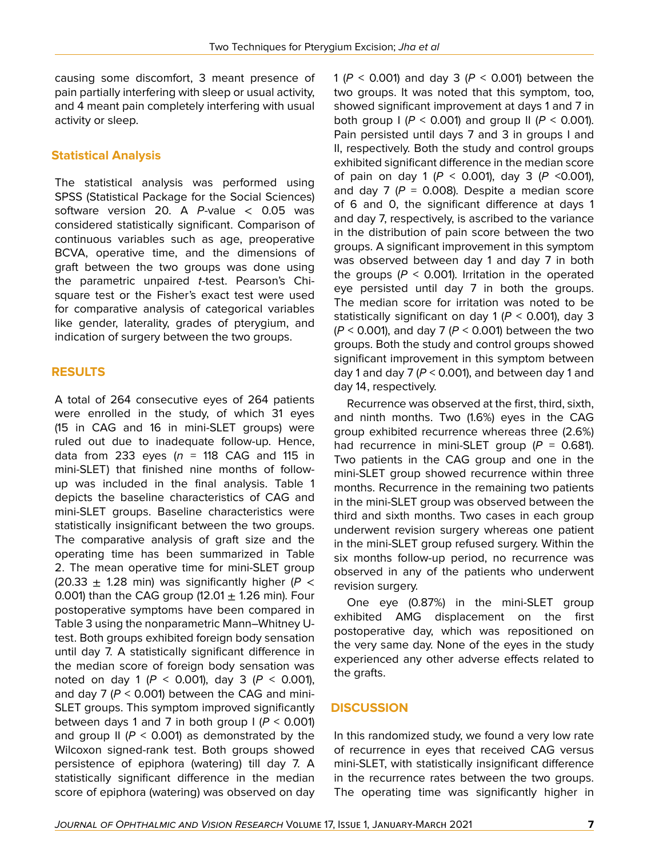causing some discomfort, 3 meant presence of pain partially interfering with sleep or usual activity, and 4 meant pain completely interfering with usual activity or sleep.

## **Statistical Analysis**

The statistical analysis was performed using SPSS (Statistical Package for the Social Sciences) software version 20. A *P*-value < 0.05 was considered statistically significant. Comparison of continuous variables such as age, preoperative BCVA, operative time, and the dimensions of graft between the two groups was done using the parametric unpaired *t*-test. Pearson's Chisquare test or the Fisher's exact test were used for comparative analysis of categorical variables like gender, laterality, grades of pterygium, and indication of surgery between the two groups.

#### **RESULTS**

A total of 264 consecutive eyes of 264 patients were enrolled in the study, of which 31 eyes (15 in CAG and 16 in mini-SLET groups) were ruled out due to inadequate follow-up. Hence, data from 233 eyes (*n* = 118 CAG and 115 in mini-SLET) that finished nine months of followup was included in the final analysis. Table 1 depicts the baseline characteristics of CAG and mini-SLET groups. Baseline characteristics were statistically insignificant between the two groups. The comparative analysis of graft size and the operating time has been summarized in Table 2. The mean operative time for mini-SLET group (20.33  $\pm$  1.28 min) was significantly higher ( $P \lt$ 0.001) than the CAG group (12.01  $\pm$  1.26 min). Four postoperative symptoms have been compared in Table 3 using the nonparametric Mann–Whitney Utest. Both groups exhibited foreign body sensation until day 7. A statistically significant difference in the median score of foreign body sensation was noted on day 1 (*P* < 0.001), day 3 (*P* < 0.001), and day 7  $(P < 0.001)$  between the CAG and mini-SLET groups. This symptom improved significantly between days 1 and 7 in both group I (*P* < 0.001) and group  $II$  ( $P < 0.001$ ) as demonstrated by the Wilcoxon signed-rank test. Both groups showed persistence of epiphora (watering) till day 7. A statistically significant difference in the median score of epiphora (watering) was observed on day

1 (*P* < 0.001) and day 3 (*P* < 0.001) between the two groups. It was noted that this symptom, too, showed significant improvement at days 1 and 7 in both group I (*P* < 0.001) and group II (*P* < 0.001). Pain persisted until days 7 and 3 in groups I and II, respectively. Both the study and control groups exhibited significant difference in the median score of pain on day 1 (*P* < 0.001), day 3 (*P* <0.001), and day 7 ( $P = 0.008$ ). Despite a median score of 6 and 0, the significant difference at days 1 and day 7, respectively, is ascribed to the variance in the distribution of pain score between the two groups. A significant improvement in this symptom was observed between day 1 and day 7 in both the groups  $(P < 0.001)$ . Irritation in the operated eye persisted until day 7 in both the groups. The median score for irritation was noted to be statistically significant on day 1 (*P* < 0.001), day 3 (*P* < 0.001), and day 7 (*P* < 0.001) between the two groups. Both the study and control groups showed significant improvement in this symptom between day 1 and day 7 ( $P < 0.001$ ), and between day 1 and day 14, respectively.

Recurrence was observed at the first, third, sixth, and ninth months. Two (1.6%) eyes in the CAG group exhibited recurrence whereas three (2.6%) had recurrence in mini-SLET group (*P* = 0.681). Two patients in the CAG group and one in the mini-SLET group showed recurrence within three months. Recurrence in the remaining two patients in the mini-SLET group was observed between the third and sixth months. Two cases in each group underwent revision surgery whereas one patient in the mini-SLET group refused surgery. Within the six months follow-up period, no recurrence was observed in any of the patients who underwent revision surgery.

One eye (0.87%) in the mini-SLET group exhibited AMG displacement on the first postoperative day, which was repositioned on the very same day. None of the eyes in the study experienced any other adverse effects related to the grafts.

#### **DISCUSSION**

In this randomized study, we found a very low rate of recurrence in eyes that received CAG versus mini-SLET, with statistically insignificant difference in the recurrence rates between the two groups. The operating time was significantly higher in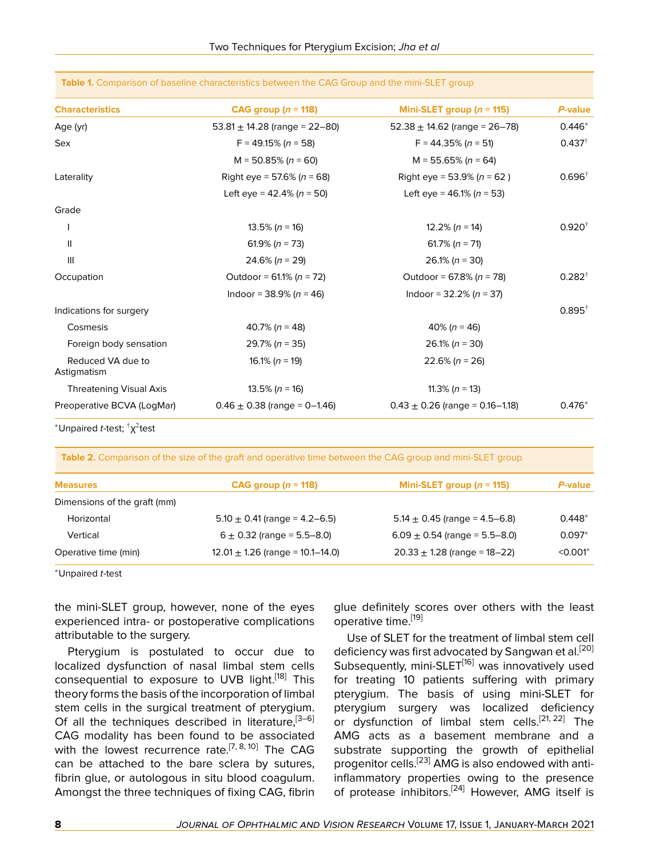| <b>Characteristics</b>           | CAG group ( $n = 118$ )            | Mini-SLET group ( $n = 115$ )         | <b>P-value</b>    |
|----------------------------------|------------------------------------|---------------------------------------|-------------------|
| Age (yr)                         | 53.81 $\pm$ 14.28 (range = 22–80)  | $52.38 \pm 14.62$ (range = 26-78)     | $0.446*$          |
| Sex                              | $F = 49.15\%$ ( <i>n</i> = 58)     | $F = 44.35\%$ (n = 51)                | $0.437^{\dagger}$ |
|                                  | $M = 50.85\%$ (n = 60)             | $M = 55.65\%$ (n = 64)                |                   |
| Laterality                       | Right eye = 57.6% ( $n = 68$ )     | Right eye = 53.9% ( $n = 62$ )        | $0.696^{\dagger}$ |
|                                  | Left eye = $42.4\%$ (n = 50)       | Left eye = $46.1\%$ ( $n = 53$ )      |                   |
| Grade                            |                                    |                                       |                   |
|                                  | $13.5\%$ ( <i>n</i> = 16)          | $12.2\%$ (n = 14)                     | $0.920^{\dagger}$ |
| Ш                                | 61.9% ( $n = 73$ )                 | 61.7% ( $n = 71$ )                    |                   |
| $\mathbf{III}$                   | 24.6% ( $n = 29$ )                 | 26.1% ( $n = 30$ )                    |                   |
| Occupation                       | Outdoor = $61.1\%$ (n = 72)        | Outdoor = $67.8\%$ ( $n = 78$ )       | $0.282^{\dagger}$ |
|                                  | Indoor = $38.9\%$ ( <i>n</i> = 46) | Indoor = $32.2\%$ ( <i>n</i> = $37$ ) |                   |
| Indications for surgery          |                                    |                                       | $0.895^{\dagger}$ |
| Cosmesis                         | 40.7% ( $n = 48$ )                 | 40% ( $n = 46$ )                      |                   |
| Foreign body sensation           | 29.7% ( $n = 35$ )                 | 26.1% ( $n = 30$ )                    |                   |
| Reduced VA due to<br>Astigmatism | 16.1% ( $n = 19$ )                 | 22.6% ( $n = 26$ )                    |                   |
| <b>Threatening Visual Axis</b>   | $13.5\%$ ( <i>n</i> = 16)          | 11.3% ( $n = 13$ )                    |                   |
| Preoperative BCVA (LogMar)       | $0.46 \pm 0.38$ (range = 0–1.46)   | $0.43 \pm 0.26$ (range = 0.16-1.18)   | $0.476*$          |
| $\sim$ $\sim$                    |                                    |                                       |                   |

#### **Table 1.** Comparison of baseline characteristics between the CAG Group and the mini-SLET group

<sup>∗</sup>Unpaired *t*-test; †χ 2 test

| Table 2. Comparison of the size of the graft and operative time between the CAG group and mini-SLET group |                                      |                                   |                        |  |  |  |  |
|-----------------------------------------------------------------------------------------------------------|--------------------------------------|-----------------------------------|------------------------|--|--|--|--|
| <b>Measures</b>                                                                                           | CAG group ( $n = 118$ )              | Mini-SLET group ( $n = 115$ )     | P-value                |  |  |  |  |
| Dimensions of the graft (mm)                                                                              |                                      |                                   |                        |  |  |  |  |
| Horizontal                                                                                                | $5.10 \pm 0.41$ (range = 4.2–6.5)    | 5.14 $\pm$ 0.45 (range = 4.5–6.8) | $0.448*$               |  |  |  |  |
| Vertical                                                                                                  | $6 \pm 0.32$ (range = 5.5–8.0)       | $6.09 \pm 0.54$ (range = 5.5–8.0) | $0.097*$               |  |  |  |  |
| Operative time (min)                                                                                      | $12.01 \pm 1.26$ (range = 10.1–14.0) | $20.33 \pm 1.28$ (range = 18-22)  | $< 0.001$ <sup>*</sup> |  |  |  |  |

<sup>∗</sup>Unpaired *t*-test

the mini-SLET group, however, none of the eyes experienced intra- or postoperative complications attributable to the surgery.

Pterygium is postulated to occur due to localized dysfunction of nasal limbal stem cells consequential to exposure to UVB light.<sup>[[18\]](#page-7-8)</sup> This theory forms the basis of the incorporation of limbal stem cells in the surgical treatment of pterygium. Of all the techniques described in literature,  $[3-6]$  $[3-6]$  $[3-6]$  $[3-6]$  $[3-6]$ CAG modality has been found to be associated with the lowest recurrence rate.<sup>[\[7](#page-6-6), [8](#page-6-7), [10](#page-7-1)]</sup> The CAG can be attached to the bare sclera by sutures, fibrin glue, or autologous in situ blood coagulum. Amongst the three techniques of fixing CAG, fibrin

glue definitely scores over others with the least operative time.[\[19\]](#page-7-9)

Use of SLET for the treatment of limbal stem cell deficiency was first advocated by Sangwan et al.<sup>[\[20](#page-7-10)]</sup> Subsequently, mini-SLET<sup>[[16\]](#page-7-6)</sup> was innovatively used for treating 10 patients suffering with primary pterygium. The basis of using mini-SLET for pterygium surgery was localized deficiency or dysfunction of limbal stem cells.[[21](#page-7-11), [22\]](#page-7-12) The AMG acts as a basement membrane and a substrate supporting the growth of epithelial progenitor cells.[[23\]](#page-7-13) AMG is also endowed with antiinflammatory properties owing to the presence of protease inhibitors.<sup>[[24](#page-7-14)]</sup> However, AMG itself is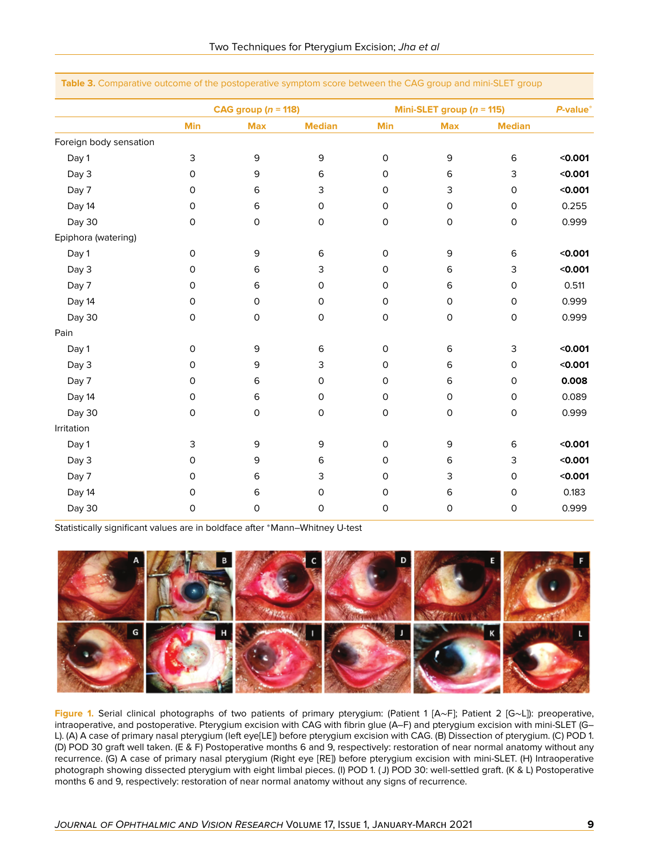|                        | CAG group ( $n = 118$ ) |                     | Mini-SLET group ( $n = 115$ ) |                     | P-value*            |                     |         |
|------------------------|-------------------------|---------------------|-------------------------------|---------------------|---------------------|---------------------|---------|
|                        | <b>Min</b>              | <b>Max</b>          | <b>Median</b>                 | <b>Min</b>          | <b>Max</b>          | <b>Median</b>       |         |
| Foreign body sensation |                         |                     |                               |                     |                     |                     |         |
| Day 1                  | 3                       | 9                   | 9                             | $\mathsf O$         | 9                   | 6                   | < 0.001 |
| Day 3                  | $\mathsf{O}\xspace$     | 9                   | 6                             | $\mathsf{O}\xspace$ | 6                   | 3                   | < 0.001 |
| Day 7                  | $\mathsf{O}\xspace$     | $\,$ 6              | 3                             | $\mathsf{O}\xspace$ | 3                   | 0                   | < 0.001 |
| Day 14                 | $\mathsf{O}\xspace$     | $\,$ 6              | $\mathsf O$                   | $\mathsf O$         | 0                   | 0                   | 0.255   |
| Day 30                 | $\mathsf{O}\xspace$     | $\mathsf O$         | $\mathsf O$                   | $\mathsf{O}\xspace$ | $\mathsf{O}\xspace$ | $\mathsf{O}\xspace$ | 0.999   |
| Epiphora (watering)    |                         |                     |                               |                     |                     |                     |         |
| Day 1                  | $\mathsf{O}\xspace$     | 9                   | 6                             | $\mathsf{O}\xspace$ | 9                   | 6                   | < 0.001 |
| Day 3                  | $\mathsf{O}\xspace$     | $\,6$               | 3                             | $\mathsf{O}\xspace$ | 6                   | 3                   | < 0.001 |
| Day 7                  | $\mathsf{O}\xspace$     | 6                   | $\mathsf O$                   | $\mathsf O$         | 6                   | 0                   | 0.511   |
| Day 14                 | $\mathsf{O}\xspace$     | $\mathsf{O}\xspace$ | $\mathsf O$                   | $\mathsf O$         | $\mathsf{O}\xspace$ | $\mathsf{O}\xspace$ | 0.999   |
| Day 30                 | 0                       | 0                   | 0                             | $\mathsf{O}\xspace$ | $\mathsf{O}\xspace$ | $\mathsf{O}\xspace$ | 0.999   |
| Pain                   |                         |                     |                               |                     |                     |                     |         |
| Day 1                  | $\mathsf{O}\xspace$     | 9                   | 6                             | $\mathsf{O}\xspace$ | 6                   | 3                   | < 0.001 |
| Day 3                  | $\mathsf{O}\xspace$     | 9                   | 3                             | $\mathsf{O}\xspace$ | 6                   | 0                   | < 0.001 |
| Day 7                  | $\mathsf{O}\xspace$     | 6                   | $\mathsf{O}$                  | $\mathsf O$         | 6                   | $\mathsf{O}\xspace$ | 0.008   |
| Day 14                 | $\mathsf{O}\xspace$     | $\,6$               | 0                             | $\mathsf{O}\xspace$ | 0                   | $\mathsf{O}\xspace$ | 0.089   |
| Day 30                 | 0                       | $\mathsf O$         | 0                             | $\mathsf O$         | $\mathsf{O}\xspace$ | $\mathsf{O}\xspace$ | 0.999   |
| Irritation             |                         |                     |                               |                     |                     |                     |         |
| Day 1                  | 3                       | 9                   | 9                             | $\mathsf{O}\xspace$ | 9                   | 6                   | < 0.001 |
| Day 3                  | 0                       | 9                   | 6                             | $\mathsf O$         | 6                   | 3                   | < 0.001 |
| Day 7                  | $\circ$                 | 6                   | 3                             | $\mathsf O$         | 3                   | $\circ$             | < 0.001 |
| Day 14                 | 0                       | $\,6$               | 0                             | $\mathsf{O}\xspace$ | 6                   | 0                   | 0.183   |
| Day 30                 | $\mathsf{O}\xspace$     | 0                   | 0                             | $\mathsf{O}\xspace$ | 0                   | 0                   | 0.999   |
|                        |                         |                     |                               |                     |                     |                     |         |

**Table 3.** Comparative outcome of the postoperative symptom score between the CAG group and mini-SLET group

Statistically significant values are in boldface after <sup>∗</sup>Mann–Whitney U-test



**Figure 1.** Serial clinical photographs of two patients of primary pterygium: (Patient 1 [A∼F]; Patient 2 [G∼L]): preoperative, intraoperative, and postoperative. Pterygium excision with CAG with fibrin glue (A–F) and pterygium excision with mini-SLET (G– L). (A) A case of primary nasal pterygium (left eye[LE]) before pterygium excision with CAG. (B) Dissection of pterygium. (C) POD 1. (D) POD 30 graft well taken. (E & F) Postoperative months 6 and 9, respectively: restoration of near normal anatomy without any recurrence. (G) A case of primary nasal pterygium (Right eye [RE]) before pterygium excision with mini-SLET. (H) Intraoperative photograph showing dissected pterygium with eight limbal pieces. (I) POD 1. ( J) POD 30: well-settled graft. (K & L) Postoperative months 6 and 9, respectively: restoration of near normal anatomy without any signs of recurrence.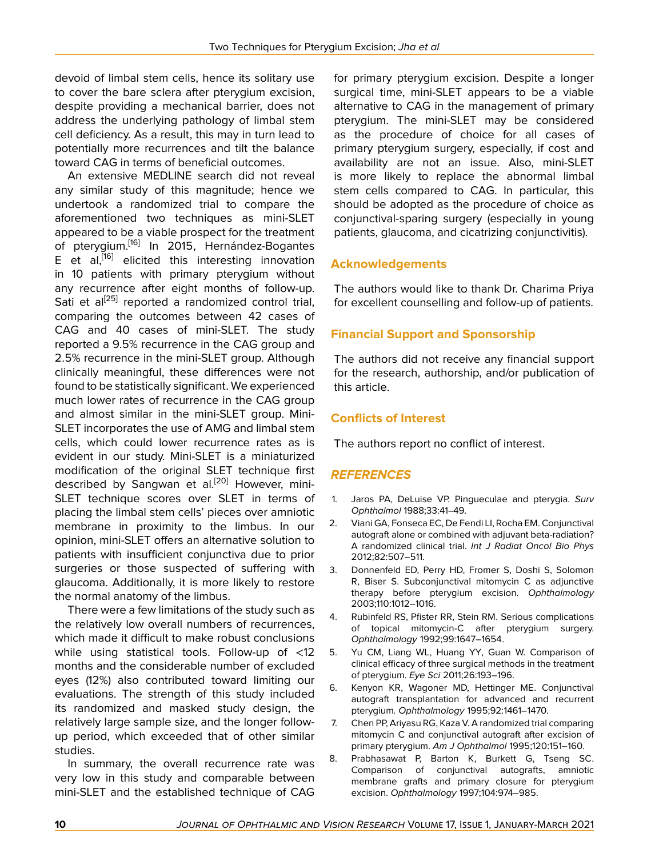devoid of limbal stem cells, hence its solitary use to cover the bare sclera after pterygium excision, despite providing a mechanical barrier, does not address the underlying pathology of limbal stem cell deficiency. As a result, this may in turn lead to potentially more recurrences and tilt the balance toward CAG in terms of beneficial outcomes.

An extensive MEDLINE search did not reveal any similar study of this magnitude; hence we undertook a randomized trial to compare the aforementioned two techniques as mini-SLET appeared to be a viable prospect for the treatment of pterygium.<sup>[\[16](#page-7-6)]</sup> In 2015, Hernández-Bogantes E et al,<sup>[[16\]](#page-7-6)</sup> elicited this interesting innovation in 10 patients with primary pterygium without any recurrence after eight months of follow-up. Sati et al<sup>[[25\]](#page-7-15)</sup> reported a randomized control trial, comparing the outcomes between 42 cases of CAG and 40 cases of mini-SLET. The study reported a 9.5% recurrence in the CAG group and 2.5% recurrence in the mini-SLET group. Although clinically meaningful, these differences were not found to be statistically significant. We experienced much lower rates of recurrence in the CAG group and almost similar in the mini-SLET group. Mini-SLET incorporates the use of AMG and limbal stem cells, which could lower recurrence rates as is evident in our study. Mini-SLET is a miniaturized modification of the original SLET technique first described by Sangwan et al.<sup>[[20\]](#page-7-10)</sup> However, mini-SLET technique scores over SLET in terms of placing the limbal stem cells' pieces over amniotic membrane in proximity to the limbus. In our opinion, mini-SLET offers an alternative solution to patients with insufficient conjunctiva due to prior surgeries or those suspected of suffering with glaucoma. Additionally, it is more likely to restore the normal anatomy of the limbus.

There were a few limitations of the study such as the relatively low overall numbers of recurrences, which made it difficult to make robust conclusions while using statistical tools. Follow-up of <12 months and the considerable number of excluded eyes (12%) also contributed toward limiting our evaluations. The strength of this study included its randomized and masked study design, the relatively large sample size, and the longer followup period, which exceeded that of other similar studies.

In summary, the overall recurrence rate was very low in this study and comparable between mini-SLET and the established technique of CAG

for primary pterygium excision. Despite a longer surgical time, mini-SLET appears to be a viable alternative to CAG in the management of primary pterygium. The mini-SLET may be considered as the procedure of choice for all cases of primary pterygium surgery, especially, if cost and availability are not an issue. Also, mini-SLET is more likely to replace the abnormal limbal stem cells compared to CAG. In particular, this should be adopted as the procedure of choice as conjunctival-sparing surgery (especially in young patients, glaucoma, and cicatrizing conjunctivitis).

## **Acknowledgements**

The authors would like to thank Dr. Charima Priya for excellent counselling and follow-up of patients.

# **Financial Support and Sponsorship**

The authors did not receive any financial support for the research, authorship, and/or publication of this article.

# **Conflicts of Interest**

The authors report no conflict of interest.

# *REFERENCES*

- <span id="page-6-0"></span>1. Jaros PA, DeLuise VP. Pingueculae and pterygia. *Surv Ophthalmol* 1988;33:41–49.
- <span id="page-6-1"></span>2. Viani GA, Fonseca EC, De Fendi LI, Rocha EM. Conjunctival autograft alone or combined with adjuvant beta-radiation? A randomized clinical trial. *Int J Radiat Oncol Bio Phys* 2012;82:507–511.
- <span id="page-6-2"></span>3. Donnenfeld ED, Perry HD, Fromer S, Doshi S, Solomon R, Biser S. Subconjunctival mitomycin C as adjunctive therapy before pterygium excision. *Ophthalmology* 2003;110:1012–1016.
- <span id="page-6-3"></span>4. Rubinfeld RS, Pfister RR, Stein RM. Serious complications of topical mitomycin-C after pterygium surgery. *Ophthalmology* 1992;99:1647–1654.
- <span id="page-6-4"></span>5. Yu CM, Liang WL, Huang YY, Guan W. Comparison of clinical efficacy of three surgical methods in the treatment of pterygium. *Eye Sci* 2011;26:193–196.
- <span id="page-6-5"></span>6. Kenyon KR, Wagoner MD, Hettinger ME. Conjunctival autograft transplantation for advanced and recurrent pterygium*. Ophthalmology* 1995;92:1461–1470.
- <span id="page-6-6"></span>7. Chen PP, Ariyasu RG, Kaza V. A randomized trial comparing mitomycin C and conjunctival autograft after excision of primary pterygium. *Am J Ophthalmol* 1995;120:151–160.
- <span id="page-6-7"></span>8. Prabhasawat P, Barton K, Burkett G, Tseng SC. Comparison of conjunctival autografts, amniotic membrane grafts and primary closure for pterygium excision. *Ophthalmology* 1997;104:974–985.